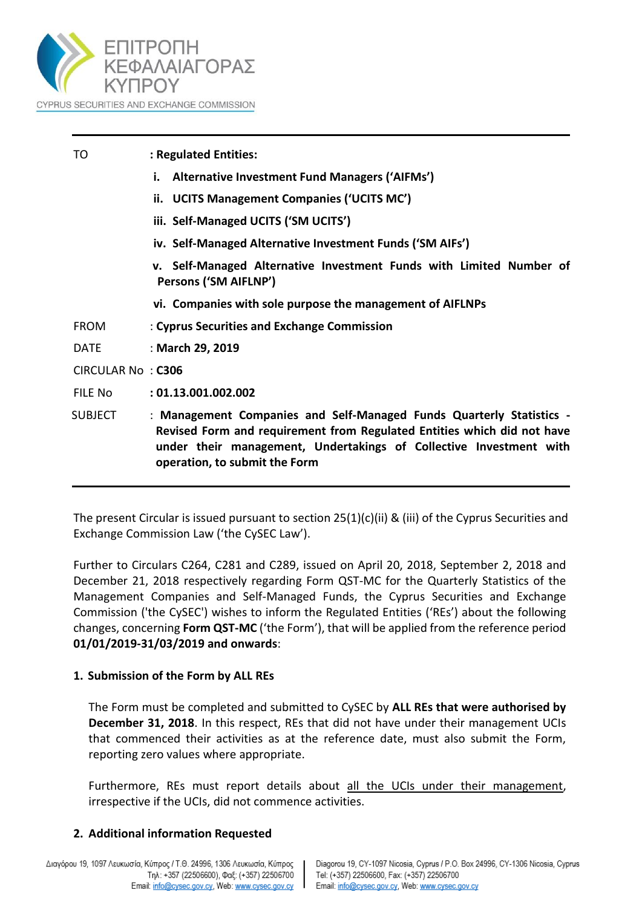

| TO                | : Regulated Entities:                                                                                                                                                                                                                                  |
|-------------------|--------------------------------------------------------------------------------------------------------------------------------------------------------------------------------------------------------------------------------------------------------|
|                   | i. Alternative Investment Fund Managers ('AIFMs')                                                                                                                                                                                                      |
|                   | ii. UCITS Management Companies ('UCITS MC')                                                                                                                                                                                                            |
|                   | iii. Self-Managed UCITS ('SM UCITS')                                                                                                                                                                                                                   |
|                   | iv. Self-Managed Alternative Investment Funds ('SM AIFs')                                                                                                                                                                                              |
|                   | v. Self-Managed Alternative Investment Funds with Limited Number of<br>Persons ('SM AIFLNP')                                                                                                                                                           |
|                   | vi. Companies with sole purpose the management of AIFLNPs                                                                                                                                                                                              |
| <b>FROM</b>       | : Cyprus Securities and Exchange Commission                                                                                                                                                                                                            |
| <b>DATE</b>       | : March 29, 2019                                                                                                                                                                                                                                       |
| CIRCULAR No: C306 |                                                                                                                                                                                                                                                        |
| FILE No           | : 01.13.001.002.002                                                                                                                                                                                                                                    |
| <b>SUBJECT</b>    | : Management Companies and Self-Managed Funds Quarterly Statistics -<br>Revised Form and requirement from Regulated Entities which did not have<br>under their management, Undertakings of Collective Investment with<br>operation, to submit the Form |

The present Circular is issued pursuant to section 25(1)(c)(ii) & (iii) of the Cyprus Securities and Exchange Commission Law ('the CySEC Law').

Further to Circulars C264, C281 and C289, issued on April 20, 2018, September 2, 2018 and December 21, 2018 respectively regarding Form QST-MC for the Quarterly Statistics of the Management Companies and Self-Managed Funds, the Cyprus Securities and Exchange Commission ('the CySEC') wishes to inform the Regulated Entities ('REs') about the following changes, concerning **Form QST-MC** ('the Form'), that will be applied from the reference period **01/01/2019-31/03/2019 and onwards**:

#### **1. Submission of the Form by ALL REs**

The Form must be completed and submitted to CySEC by **ALL REs that were authorised by December 31, 2018**. In this respect, REs that did not have under their management UCIs that commenced their activities as at the reference date, must also submit the Form, reporting zero values where appropriate.

Furthermore, REs must report details about all the UCIs under their management, irrespective if the UCIs, did not commence activities.

 $\mathbf{I}$ 

# **2. Additional information Requested**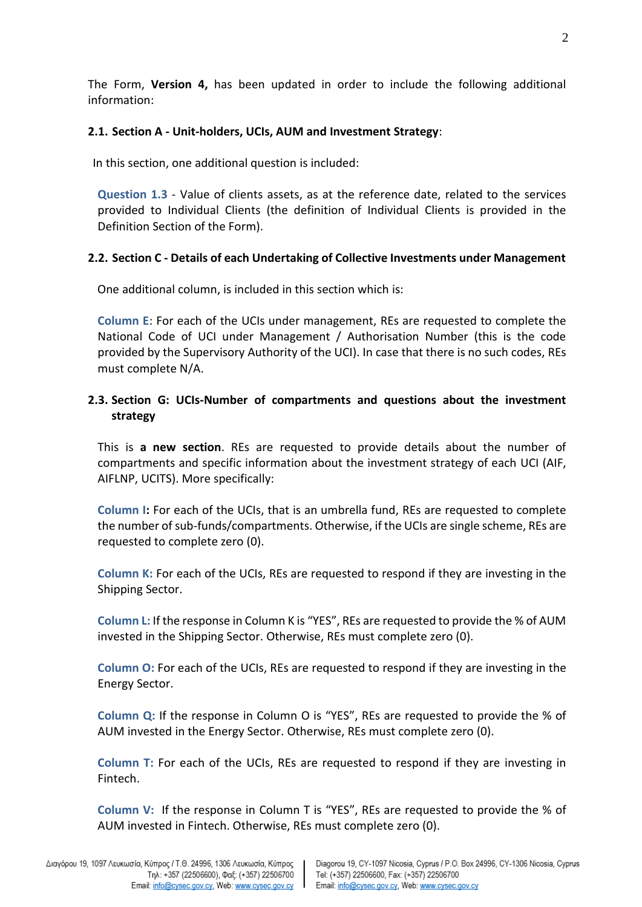The Form, **Version 4,** has been updated in order to include the following additional information:

# **2.1. Section A - Unit-holders, UCIs, AUM and Investment Strategy**:

In this section, one additional question is included:

**Question 1.3** - Value of clients assets, as at the reference date, related to the services provided to Individual Clients (the definition of Individual Clients is provided in the Definition Section of the Form).

# **2.2. Section C - Details of each Undertaking of Collective Investments under Management**

One additional column, is included in this section which is:

**Column E**: For each of the UCIs under management, REs are requested to complete the National Code of UCI under Management / Authorisation Number (this is the code provided by the Supervisory Authority of the UCI). In case that there is no such codes, REs must complete N/A.

# **2.3. Section G: UCIs-Number of compartments and questions about the investment strategy**

This is **a new section**. REs are requested to provide details about the number of compartments and specific information about the investment strategy of each UCI (AIF, AIFLNP, UCITS). More specifically:

**Column I:** For each of the UCIs, that is an umbrella fund, REs are requested to complete the number of sub-funds/compartments. Otherwise, if the UCIs are single scheme, REs are requested to complete zero (0).

**Column K:** For each of the UCIs, REs are requested to respond if they are investing in the Shipping Sector.

**Column L:** If the response in Column K is "YES", REs are requested to provide the % of AUM invested in the Shipping Sector. Otherwise, REs must complete zero (0).

**Column O:** For each of the UCIs, REs are requested to respond if they are investing in the Energy Sector.

**Column Q:** If the response in Column O is "YES", REs are requested to provide the % of AUM invested in the Energy Sector. Otherwise, REs must complete zero (0).

**Column T:** For each of the UCIs, REs are requested to respond if they are investing in Fintech.

**Column V:** If the response in Column T is "YES", REs are requested to provide the % of AUM invested in Fintech. Otherwise, REs must complete zero (0).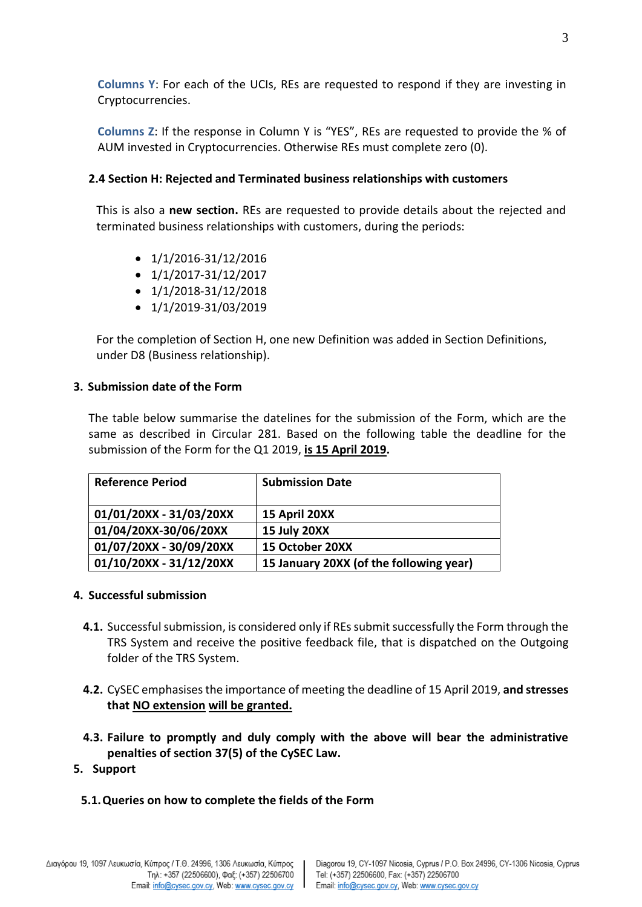**Columns Y**: For each of the UCIs, REs are requested to respond if they are investing in Cryptocurrencies.

**Columns Z**: If the response in Column Y is "YES", REs are requested to provide the % of AUM invested in Cryptocurrencies. Otherwise REs must complete zero (0).

#### **2.4 Section H: Rejected and Terminated business relationships with customers**

This is also a **new section.** REs are requested to provide details about the rejected and terminated business relationships with customers, during the periods:

- $\bullet$  1/1/2016-31/12/2016
- $\bullet$  1/1/2017-31/12/2017
- $\bullet$  1/1/2018-31/12/2018
- $\bullet$  1/1/2019-31/03/2019

For the completion of Section H, one new Definition was added in Section Definitions, under D8 (Business relationship).

#### **3. Submission date of the Form**

The table below summarise the datelines for the submission of the Form, which are the same as described in Circular 281. Based on the following table the deadline for the submission of the Form for the Q1 2019, **is 15 April 2019.**

| <b>Reference Period</b> | <b>Submission Date</b>                  |
|-------------------------|-----------------------------------------|
| 01/01/20XX - 31/03/20XX | 15 April 20XX                           |
| 01/04/20XX-30/06/20XX   | 15 July 20XX                            |
| 01/07/20XX - 30/09/20XX | 15 October 20XX                         |
| 01/10/20XX - 31/12/20XX | 15 January 20XX (of the following year) |

#### **4. Successful submission**

- **4.1.** Successful submission, is considered only if REs submit successfully the Form through the TRS System and receive the positive feedback file, that is dispatched on the Outgoing folder of the TRS System.
- **4.2.** CySEC emphasises the importance of meeting the deadline of 15 April 2019, **and stresses that NO extension will be granted.**
- **4.3. Failure to promptly and duly comply with the above will bear the administrative penalties of section 37(5) of the CySEC Law.**
- **5. Support**
	- **5.1.Queries on how to complete the fields of the Form**